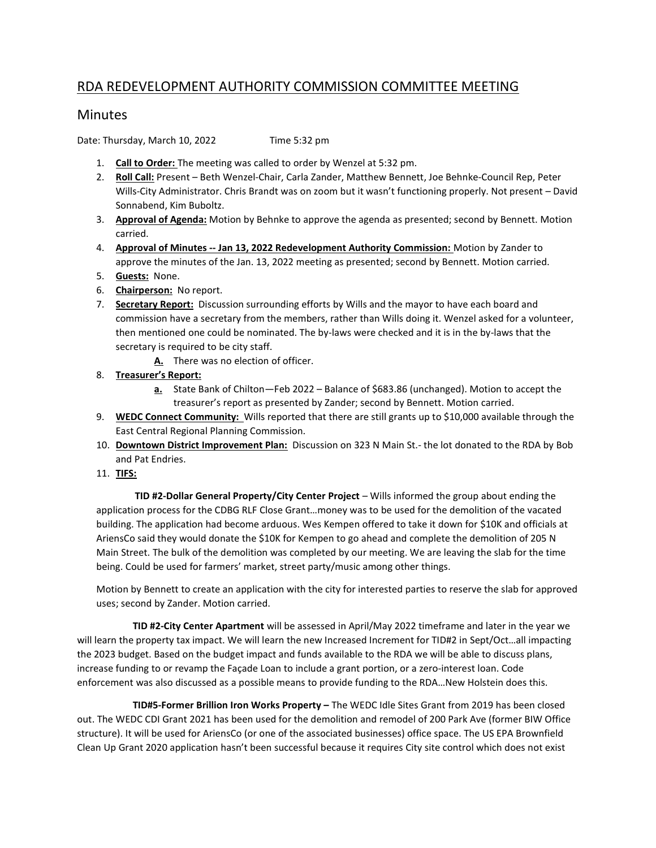## RDA REDEVELOPMENT AUTHORITY COMMISSION COMMITTEE MEETING

## **Minutes**

Date: Thursday, March 10, 2022 Time 5:32 pm

- 1. Call to Order: The meeting was called to order by Wenzel at 5:32 pm.
- 2. Roll Call: Present Beth Wenzel-Chair, Carla Zander, Matthew Bennett, Joe Behnke-Council Rep, Peter Wills-City Administrator. Chris Brandt was on zoom but it wasn't functioning properly. Not present – David Sonnabend, Kim Buboltz.
- 3. Approval of Agenda: Motion by Behnke to approve the agenda as presented; second by Bennett. Motion carried.
- 4. Approval of Minutes -- Jan 13, 2022 Redevelopment Authority Commission: Motion by Zander to approve the minutes of the Jan. 13, 2022 meeting as presented; second by Bennett. Motion carried.
- 5. **Guests:** None.
- 6. Chairperson: No report.
- 7. Secretary Report: Discussion surrounding efforts by Wills and the mayor to have each board and commission have a secretary from the members, rather than Wills doing it. Wenzel asked for a volunteer, then mentioned one could be nominated. The by-laws were checked and it is in the by-laws that the secretary is required to be city staff.
	- A. There was no election of officer.
- 8. Treasurer's Report:
	- a. State Bank of Chilton—Feb 2022 Balance of \$683.86 (unchanged). Motion to accept the treasurer's report as presented by Zander; second by Bennett. Motion carried.
- 9. WEDC Connect Community: Wills reported that there are still grants up to \$10,000 available through the East Central Regional Planning Commission.
- 10. Downtown District Improvement Plan: Discussion on 323 N Main St.- the lot donated to the RDA by Bob and Pat Endries.
- 11. TIFS:

TID #2-Dollar General Property/City Center Project – Wills informed the group about ending the application process for the CDBG RLF Close Grant…money was to be used for the demolition of the vacated building. The application had become arduous. Wes Kempen offered to take it down for \$10K and officials at AriensCo said they would donate the \$10K for Kempen to go ahead and complete the demolition of 205 N Main Street. The bulk of the demolition was completed by our meeting. We are leaving the slab for the time being. Could be used for farmers' market, street party/music among other things.

Motion by Bennett to create an application with the city for interested parties to reserve the slab for approved uses; second by Zander. Motion carried.

 TID #2-City Center Apartment will be assessed in April/May 2022 timeframe and later in the year we will learn the property tax impact. We will learn the new Increased Increment for TID#2 in Sept/Oct...all impacting the 2023 budget. Based on the budget impact and funds available to the RDA we will be able to discuss plans, increase funding to or revamp the Façade Loan to include a grant portion, or a zero-interest loan. Code enforcement was also discussed as a possible means to provide funding to the RDA…New Holstein does this.

 TID#5-Former Brillion Iron Works Property – The WEDC Idle Sites Grant from 2019 has been closed out. The WEDC CDI Grant 2021 has been used for the demolition and remodel of 200 Park Ave (former BIW Office structure). It will be used for AriensCo (or one of the associated businesses) office space. The US EPA Brownfield Clean Up Grant 2020 application hasn't been successful because it requires City site control which does not exist